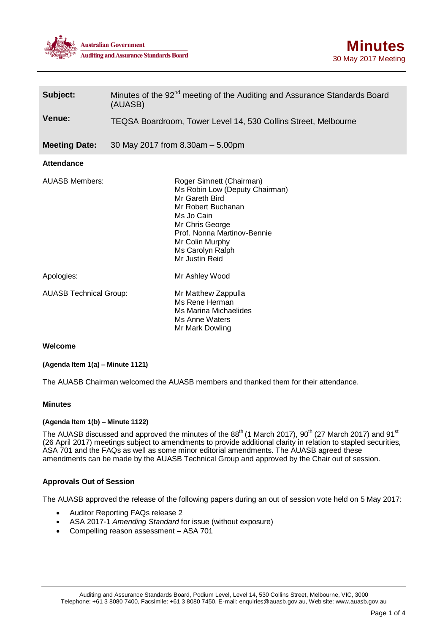



| Subject:                      | Minutes of the 92 <sup>nd</sup> meeting of the Auditing and Assurance Standards Board<br>(AUASB)                                                                                                                            |
|-------------------------------|-----------------------------------------------------------------------------------------------------------------------------------------------------------------------------------------------------------------------------|
| Venue:                        | TEQSA Boardroom, Tower Level 14, 530 Collins Street, Melbourne                                                                                                                                                              |
| <b>Meeting Date:</b>          | 30 May 2017 from 8.30am - 5.00pm                                                                                                                                                                                            |
| <b>Attendance</b>             |                                                                                                                                                                                                                             |
| <b>AUASB Members:</b>         | Roger Simnett (Chairman)<br>Ms Robin Low (Deputy Chairman)<br>Mr Gareth Bird<br>Mr Robert Buchanan<br>Ms Jo Cain<br>Mr Chris George<br>Prof. Nonna Martinov-Bennie<br>Mr Colin Murphy<br>Ms Carolyn Ralph<br>Mr Justin Reid |
| Apologies:                    | Mr Ashley Wood                                                                                                                                                                                                              |
| <b>AUASB Technical Group:</b> | Mr Matthew Zappulla<br>Ms Rene Herman<br>Ms Marina Michaelides<br>Ms Anne Waters<br>Mr Mark Dowling                                                                                                                         |

# **Welcome**

## **(Agenda Item 1(a) – Minute 1121)**

The AUASB Chairman welcomed the AUASB members and thanked them for their attendance.

## **Minutes**

#### **(Agenda Item 1(b) – Minute 1122)**

The AUASB discussed and approved the minutes of the 88<sup>th</sup> (1 March 2017), 90<sup>th</sup> (27 March 2017) and 91<sup>st</sup> (26 April 2017) meetings subject to amendments to provide additional clarity in relation to stapled securities, ASA 701 and the FAQs as well as some minor editorial amendments. The AUASB agreed these amendments can be made by the AUASB Technical Group and approved by the Chair out of session.

## **Approvals Out of Session**

The AUASB approved the release of the following papers during an out of session vote held on 5 May 2017:

- Auditor Reporting FAQs release 2
- ASA 2017-1 *Amending Standard* for issue (without exposure)
- Compelling reason assessment ASA 701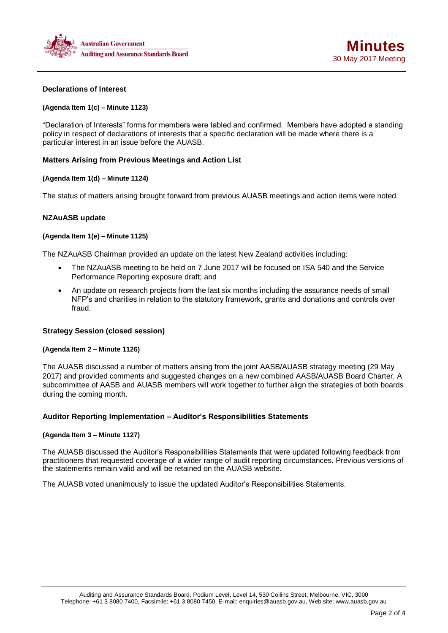



## **Declarations of Interest**

## **(Agenda Item 1(c) – Minute 1123)**

"Declaration of Interests" forms for members were tabled and confirmed. Members have adopted a standing policy in respect of declarations of interests that a specific declaration will be made where there is a particular interest in an issue before the AUASB.

## **Matters Arising from Previous Meetings and Action List**

## **(Agenda Item 1(d) – Minute 1124)**

The status of matters arising brought forward from previous AUASB meetings and action items were noted.

## **NZAuASB update**

## **(Agenda Item 1(e) – Minute 1125)**

The NZAuASB Chairman provided an update on the latest New Zealand activities including:

- The NZAuASB meeting to be held on 7 June 2017 will be focused on ISA 540 and the Service Performance Reporting exposure draft; and
- An update on research projects from the last six months including the assurance needs of small NFP's and charities in relation to the statutory framework, grants and donations and controls over fraud.

## **Strategy Session (closed session)**

## **(Agenda Item 2 – Minute 1126)**

The AUASB discussed a number of matters arising from the joint AASB/AUASB strategy meeting (29 May 2017) and provided comments and suggested changes on a new combined AASB/AUASB Board Charter. A subcommittee of AASB and AUASB members will work together to further align the strategies of both boards during the coming month.

## **Auditor Reporting Implementation – Auditor's Responsibilities Statements**

## **(Agenda Item 3 – Minute 1127)**

The AUASB discussed the Auditor's Responsibilities Statements that were updated following feedback from practitioners that requested coverage of a wider range of audit reporting circumstances. Previous versions of the statements remain valid and will be retained on the AUASB website.

The AUASB voted unanimously to issue the updated Auditor's Responsibilities Statements.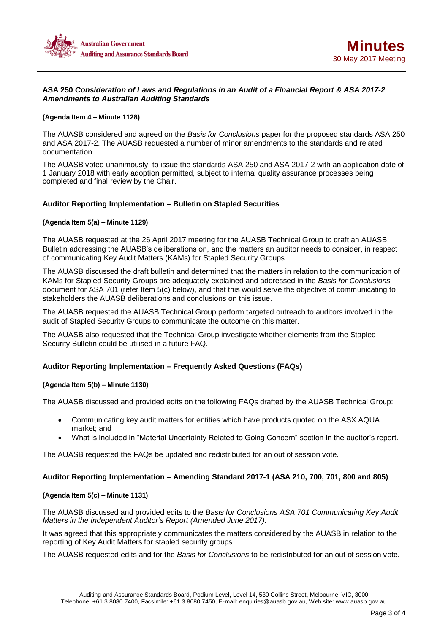



# **ASA 250** *Consideration of Laws and Regulations in an Audit of a Financial Report & ASA 2017-2 Amendments to Australian Auditing Standards*

### **(Agenda Item 4 – Minute 1128)**

The AUASB considered and agreed on the *Basis for Conclusions* paper for the proposed standards ASA 250 and ASA 2017-2. The AUASB requested a number of minor amendments to the standards and related documentation.

The AUASB voted unanimously, to issue the standards ASA 250 and ASA 2017-2 with an application date of 1 January 2018 with early adoption permitted, subject to internal quality assurance processes being completed and final review by the Chair.

## **Auditor Reporting Implementation – Bulletin on Stapled Securities**

## **(Agenda Item 5(a) – Minute 1129)**

The AUASB requested at the 26 April 2017 meeting for the AUASB Technical Group to draft an AUASB Bulletin addressing the AUASB's deliberations on, and the matters an auditor needs to consider, in respect of communicating Key Audit Matters (KAMs) for Stapled Security Groups.

The AUASB discussed the draft bulletin and determined that the matters in relation to the communication of KAMs for Stapled Security Groups are adequately explained and addressed in the *Basis for Conclusions* document for ASA 701 (refer Item 5(c) below), and that this would serve the objective of communicating to stakeholders the AUASB deliberations and conclusions on this issue.

The AUASB requested the AUASB Technical Group perform targeted outreach to auditors involved in the audit of Stapled Security Groups to communicate the outcome on this matter.

The AUASB also requested that the Technical Group investigate whether elements from the Stapled Security Bulletin could be utilised in a future FAQ.

# **Auditor Reporting Implementation – Frequently Asked Questions (FAQs)**

## **(Agenda Item 5(b) – Minute 1130)**

The AUASB discussed and provided edits on the following FAQs drafted by the AUASB Technical Group:

- Communicating key audit matters for entities which have products quoted on the ASX AQUA market; and
- What is included in "Material Uncertainty Related to Going Concern" section in the auditor's report.

The AUASB requested the FAQs be updated and redistributed for an out of session vote.

## **Auditor Reporting Implementation – Amending Standard 2017-1 (ASA 210, 700, 701, 800 and 805)**

## **(Agenda Item 5(c) – Minute 1131)**

The AUASB discussed and provided edits to the *Basis for Conclusions ASA 701 Communicating Key Audit Matters in the Independent Auditor's Report (Amended June 2017).*

It was agreed that this appropriately communicates the matters considered by the AUASB in relation to the reporting of Key Audit Matters for stapled security groups.

The AUASB requested edits and for the *Basis for Conclusions* to be redistributed for an out of session vote.